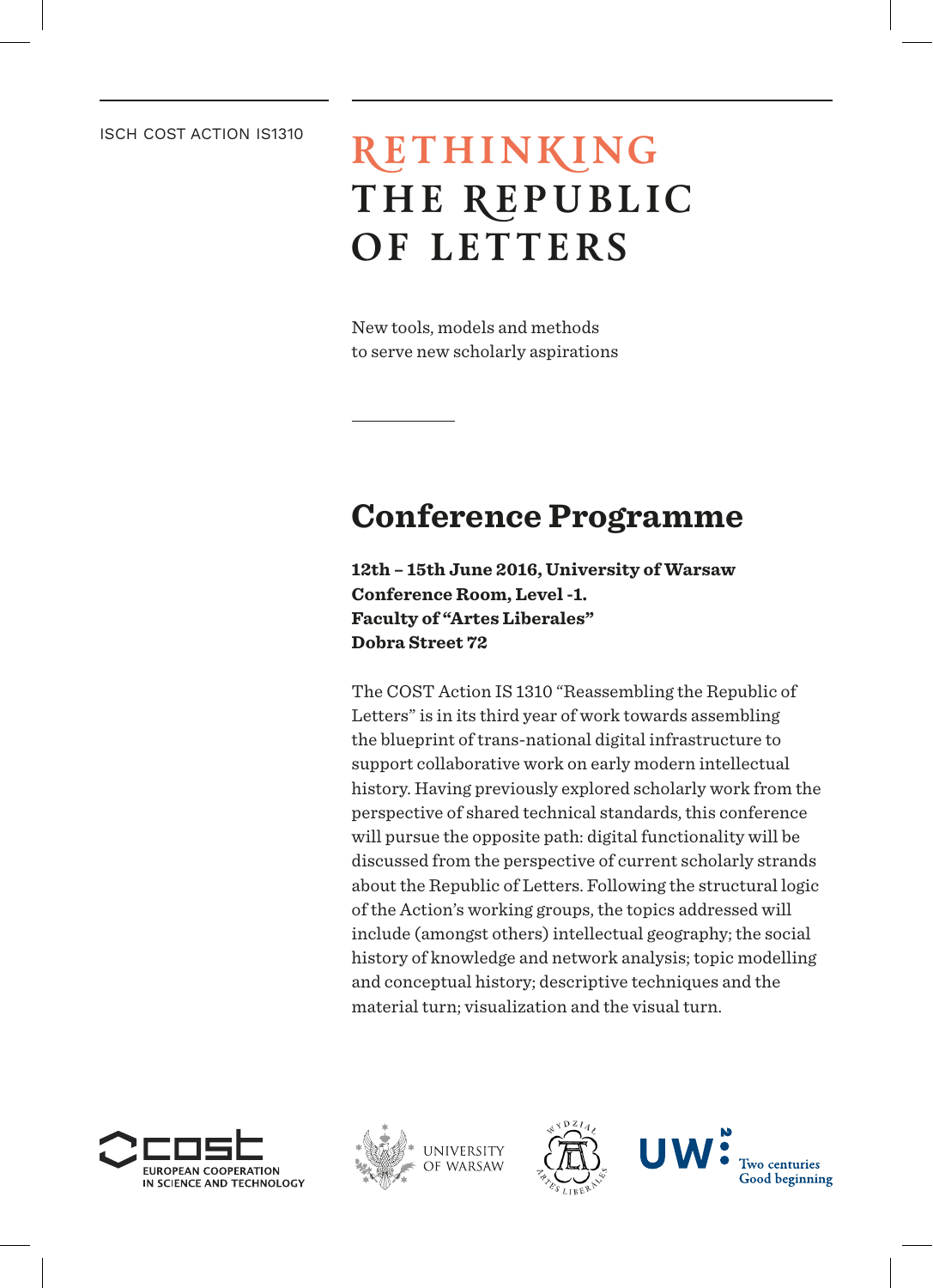### ISCH COST ACTION IS1310

# **RETHINKING THE REPUBLIC OF LETTERS**

New tools, models and methods to serve new scholarly aspirations

# **Conference Programme**

**12th – 15th June 2016, University of Warsaw Conference Room, Level -1. Faculty of "Artes Liberales" Dobra Street 72**

The COST Action IS 1310 "Reassembling the Republic of Letters" is in its third year of work towards assembling the blueprint of trans-national digital infrastructure to support collaborative work on early modern intellectual history. Having previously explored scholarly work from the perspective of shared technical standards, this conference will pursue the opposite path: digital functionality will be discussed from the perspective of current scholarly strands about the Republic of Letters. Following the structural logic of the Action's working groups, the topics addressed will include (amongst others) intellectual geography; the social history of knowledge and network analysis; topic modelling and conceptual history; descriptive techniques and the material turn; visualization and the visual turn.







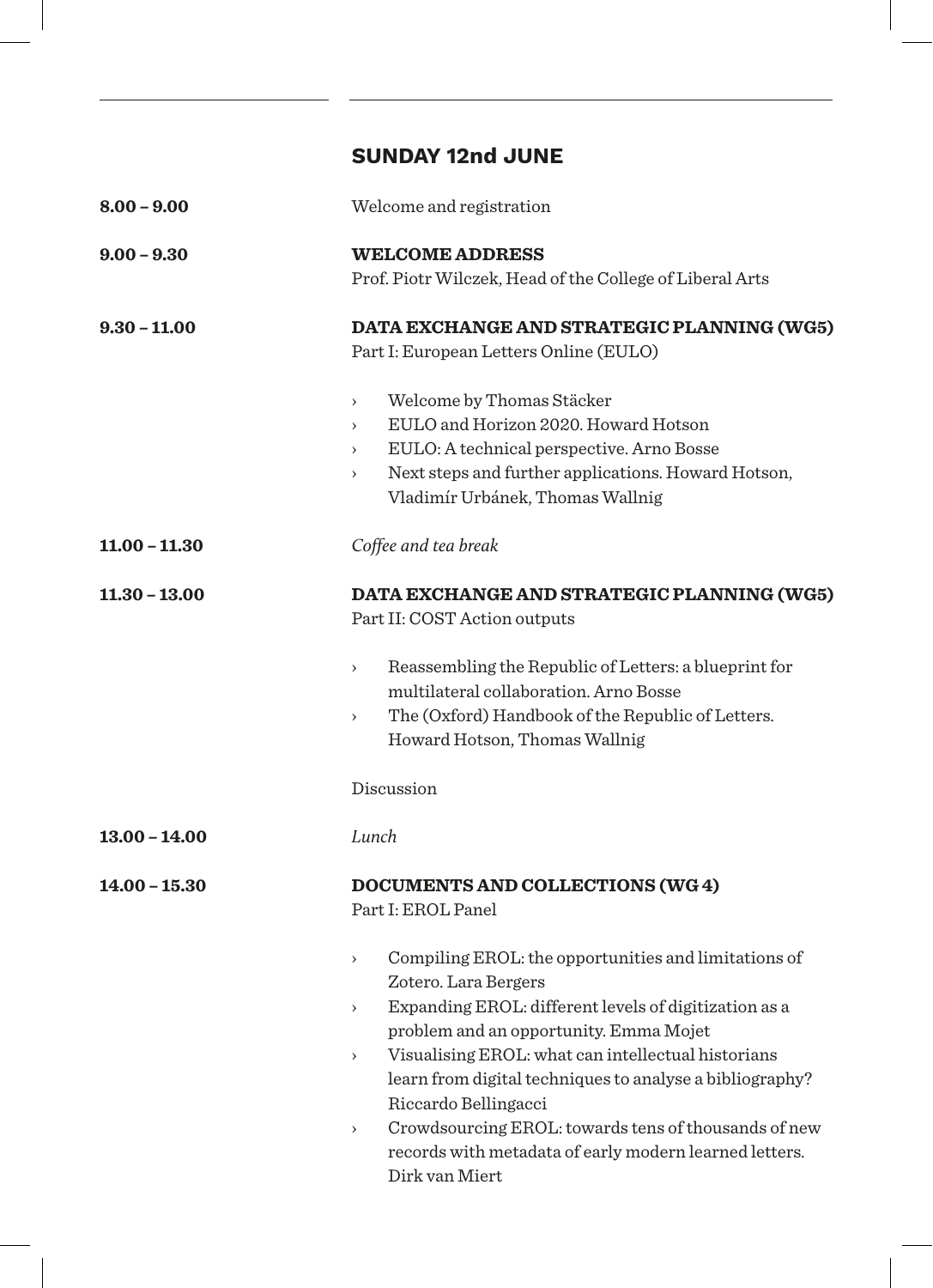## **SUNDAY 12nd JUNE**

| Welcome and registration                                                                                                                                                                                                                                                                                                                                                                                                                                                                                                                                                  |
|---------------------------------------------------------------------------------------------------------------------------------------------------------------------------------------------------------------------------------------------------------------------------------------------------------------------------------------------------------------------------------------------------------------------------------------------------------------------------------------------------------------------------------------------------------------------------|
| <b>WELCOME ADDRESS</b><br>Prof. Piotr Wilczek, Head of the College of Liberal Arts                                                                                                                                                                                                                                                                                                                                                                                                                                                                                        |
| DATA EXCHANGE AND STRATEGIC PLANNING (WG5)<br>Part I: European Letters Online (EULO)<br>Welcome by Thomas Stäcker<br>$\rightarrow$<br>EULO and Horizon 2020. Howard Hotson<br>$\rightarrow$<br>EULO: A technical perspective. Arno Bosse<br>$\,$<br>Next steps and further applications. Howard Hotson,<br>$\rightarrow$<br>Vladimír Urbánek, Thomas Wallnig                                                                                                                                                                                                              |
| Coffee and tea break                                                                                                                                                                                                                                                                                                                                                                                                                                                                                                                                                      |
| DATA EXCHANGE AND STRATEGIC PLANNING (WG5)<br>Part II: COST Action outputs<br>Reassembling the Republic of Letters: a blueprint for<br>$\rightarrow$<br>multilateral collaboration. Arno Bosse<br>The (Oxford) Handbook of the Republic of Letters.<br>$\rightarrow$<br>Howard Hotson, Thomas Wallnig<br>Discussion                                                                                                                                                                                                                                                       |
| Lunch                                                                                                                                                                                                                                                                                                                                                                                                                                                                                                                                                                     |
| DOCUMENTS AND COLLECTIONS (WG 4)<br>Part I: EROL Panel<br>Compiling EROL: the opportunities and limitations of<br>$\rightarrow$<br>Zotero. Lara Bergers<br>Expanding EROL: different levels of digitization as a<br>$\rightarrow$<br>problem and an opportunity. Emma Mojet<br>Visualising EROL: what can intellectual historians<br>$\rightarrow$<br>learn from digital techniques to analyse a bibliography?<br>Riccardo Bellingacci<br>Crowdsourcing EROL: towards tens of thousands of new<br>$\rightarrow$<br>records with metadata of early modern learned letters. |
|                                                                                                                                                                                                                                                                                                                                                                                                                                                                                                                                                                           |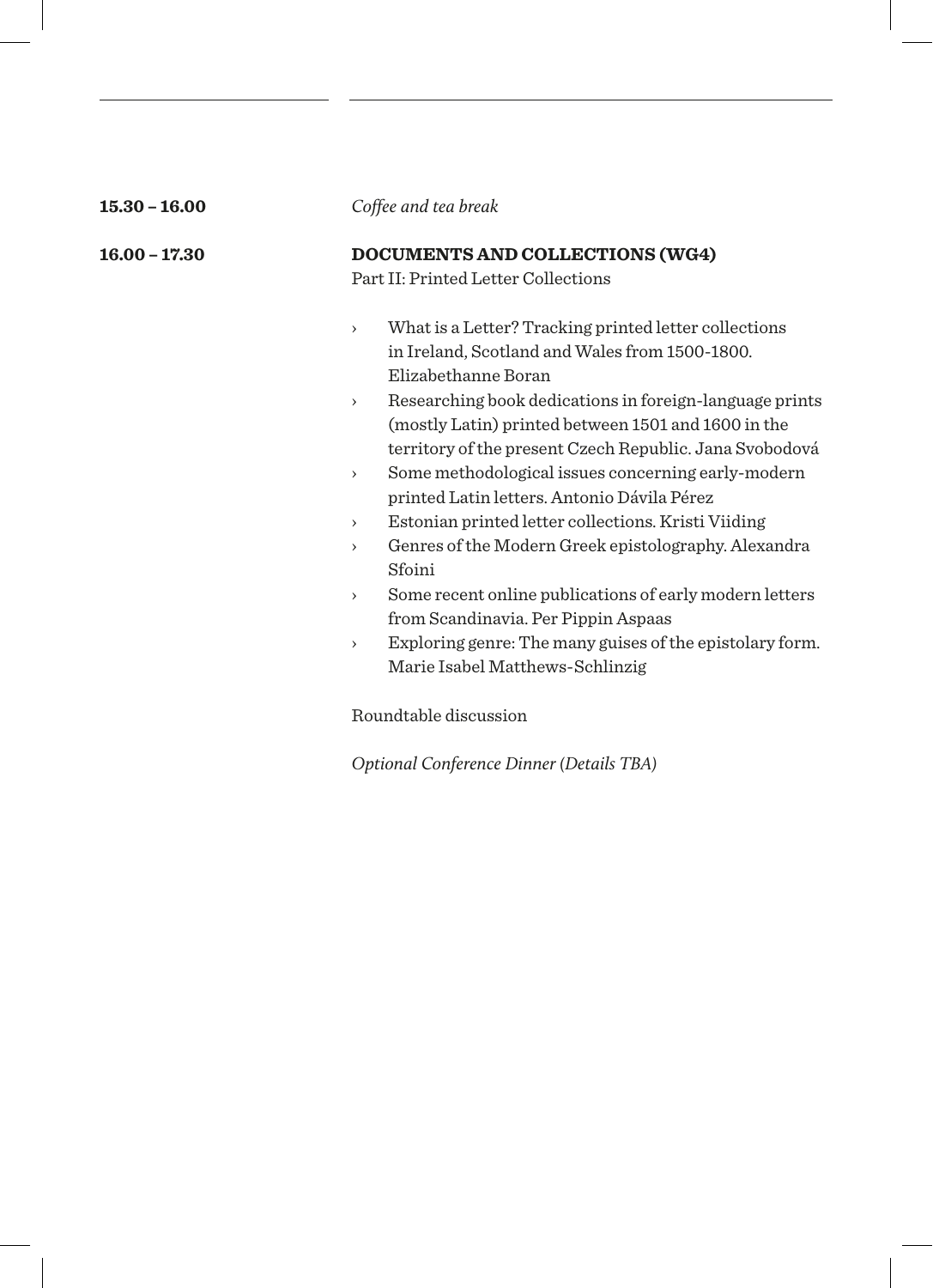| $15.30 - 16.00$ | Coffee and tea break                                                                                                                                                                                                                                                                                                                                                                                                                                                                                                                                                                                                                                                                                                                                                                                                                                              |
|-----------------|-------------------------------------------------------------------------------------------------------------------------------------------------------------------------------------------------------------------------------------------------------------------------------------------------------------------------------------------------------------------------------------------------------------------------------------------------------------------------------------------------------------------------------------------------------------------------------------------------------------------------------------------------------------------------------------------------------------------------------------------------------------------------------------------------------------------------------------------------------------------|
| $16.00 - 17.30$ | DOCUMENTS AND COLLECTIONS (WG4)<br>Part II: Printed Letter Collections                                                                                                                                                                                                                                                                                                                                                                                                                                                                                                                                                                                                                                                                                                                                                                                            |
|                 | What is a Letter? Tracking printed letter collections<br>$\rightarrow$<br>in Ireland, Scotland and Wales from 1500-1800.<br>Elizabethanne Boran<br>Researching book dedications in foreign-language prints<br>$\rightarrow$<br>(mostly Latin) printed between 1501 and 1600 in the<br>territory of the present Czech Republic. Jana Svobodová<br>Some methodological issues concerning early-modern<br>$\rightarrow$<br>printed Latin letters. Antonio Dávila Pérez<br>Estonian printed letter collections. Kristi Viiding<br>$\rightarrow$<br>Genres of the Modern Greek epistolography. Alexandra<br>$\rightarrow$<br>Sfoini<br>Some recent online publications of early modern letters<br>$\rightarrow$<br>from Scandinavia. Per Pippin Aspaas<br>Exploring genre: The many guises of the epistolary form.<br>$\rightarrow$<br>Marie Isabel Matthews-Schlinzig |

Roundtable discussion

*Optional Conference Dinner (Details TBA)*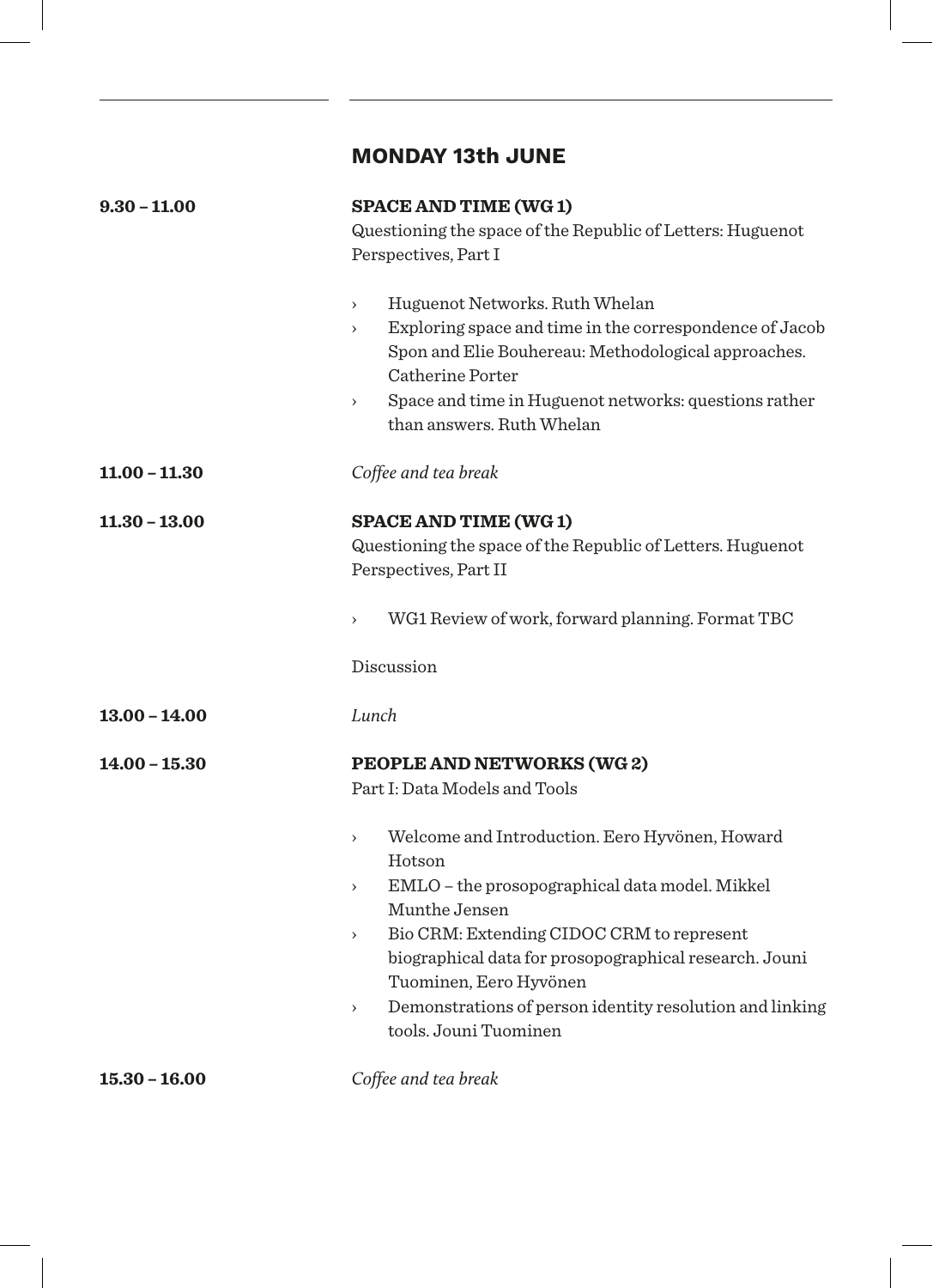## **MONDAY 13th JUNE**

| $9.30 - 11.00$       | <b>SPACE AND TIME (WG1)</b>                                                                |
|----------------------|--------------------------------------------------------------------------------------------|
|                      | Questioning the space of the Republic of Letters: Huguenot                                 |
|                      | Perspectives, Part I                                                                       |
|                      | Huguenot Networks. Ruth Whelan<br>$\rightarrow$                                            |
|                      | Exploring space and time in the correspondence of Jacob<br>$\rightarrow$                   |
|                      | Spon and Elie Bouhereau: Methodological approaches.                                        |
|                      | Catherine Porter                                                                           |
|                      | Space and time in Huguenot networks: questions rather<br>$\,$<br>than answers. Ruth Whelan |
| $11.00 - 11.30$      | Coffee and tea break                                                                       |
| <b>11.30 - 13.00</b> | <b>SPACE AND TIME (WG1)</b>                                                                |
|                      | Questioning the space of the Republic of Letters. Huguenot                                 |
|                      | Perspectives, Part II                                                                      |
|                      |                                                                                            |
|                      | WG1 Review of work, forward planning. Format TBC<br>$\rightarrow$                          |
|                      | Discussion                                                                                 |
| $13.00 - 14.00$      | Lunch                                                                                      |
| $14.00 - 15.30$      | PEOPLE AND NETWORKS (WG 2)                                                                 |
|                      | Part I: Data Models and Tools                                                              |
|                      |                                                                                            |
|                      | Welcome and Introduction. Eero Hyvönen, Howard<br>$\rightarrow$                            |
|                      | Hotson<br>EMLO - the prosopographical data model. Mikkel<br>$\rightarrow$                  |
|                      | Munthe Jensen                                                                              |
|                      | Bio CRM: Extending CIDOC CRM to represent<br>$\,$                                          |
|                      | biographical data for prosopographical research. Jouni                                     |
|                      | Tuominen, Eero Hyvönen                                                                     |
|                      | Demonstrations of person identity resolution and linking<br>$\,$                           |
|                      | tools. Jouni Tuominen                                                                      |
| $15.30 - 16.00$      | Coffee and tea break                                                                       |
|                      |                                                                                            |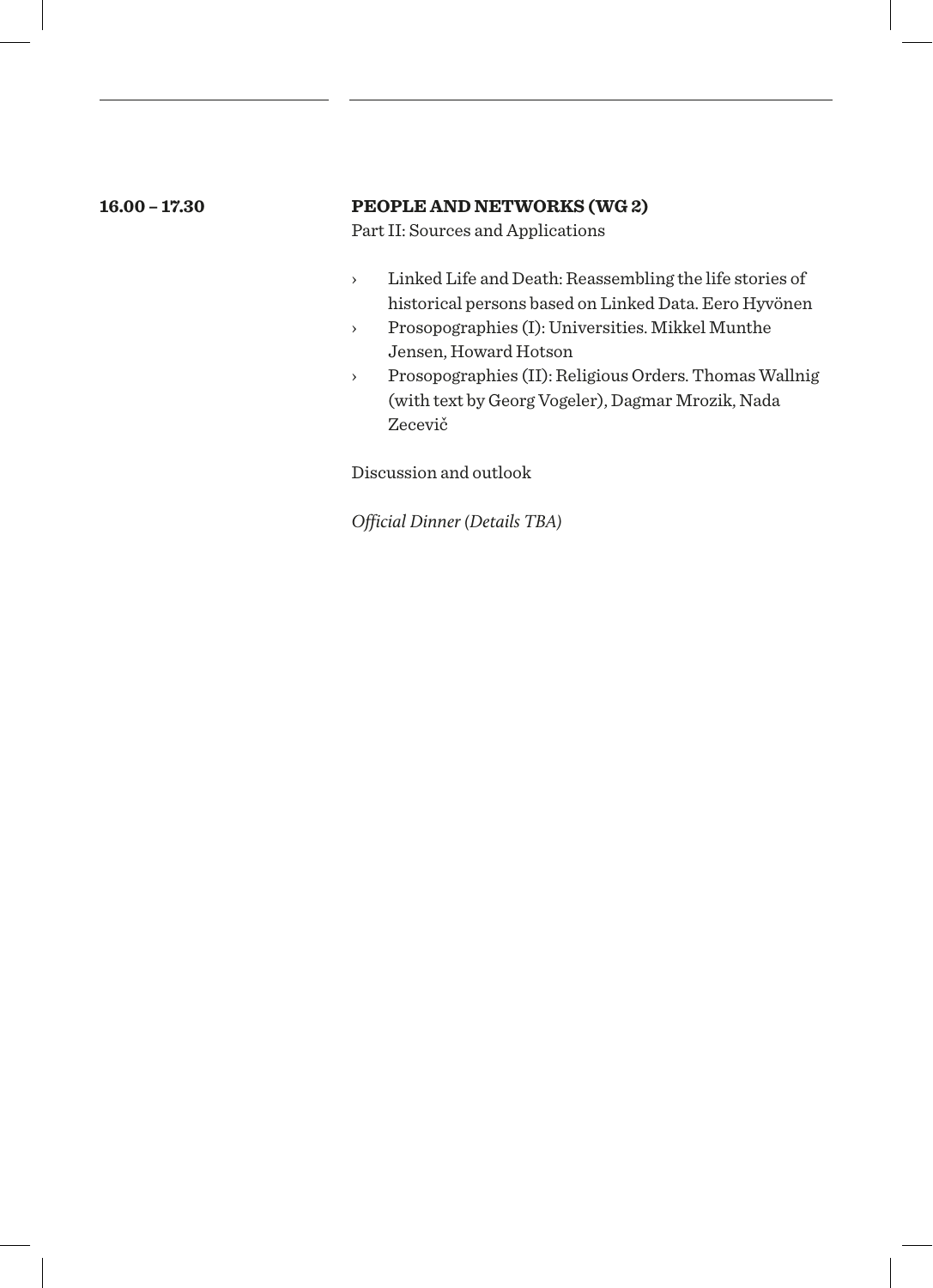### **16.00 – 17.30 PEOPLE AND NETWORKS (WG 2)**

Part II: Sources and Applications

- › Linked Life and Death: Reassembling the life stories of historical persons based on Linked Data. Eero Hyvönen
- › Prosopographies (I): Universities. Mikkel Munthe Jensen, Howard Hotson
- › Prosopographies (II): Religious Orders. Thomas Wallnig (with text by Georg Vogeler), Dagmar Mrozik, Nada Zecevič

Discussion and outlook

*Official Dinner (Details TBA)*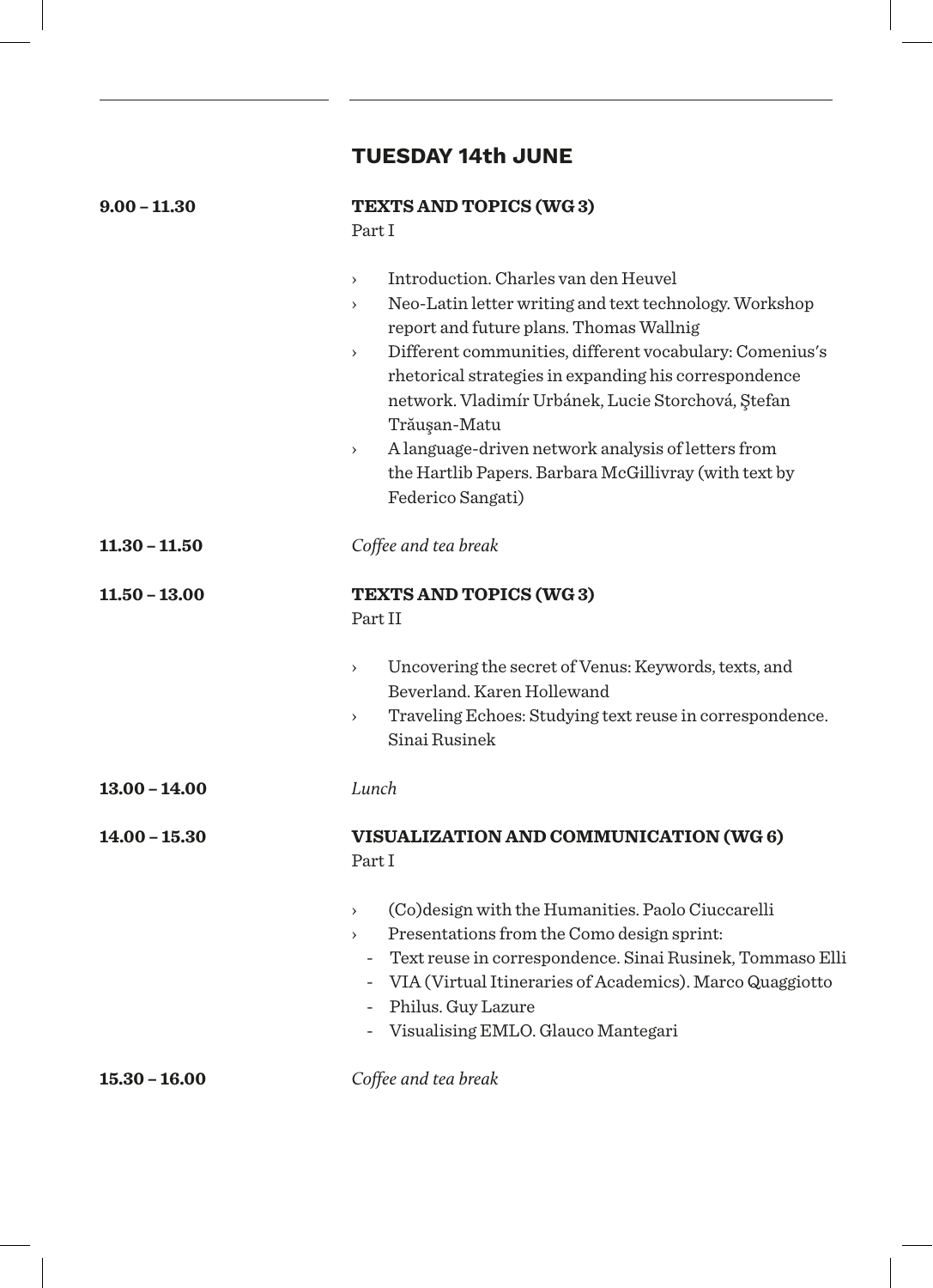## **TUESDAY 14th JUNE**

| $9.00 - 11.30$  | <b>TEXTS AND TOPICS (WG3)</b><br>Part I                                                                                                                                                                                                                                                                                                                                                                                                                                                                                            |
|-----------------|------------------------------------------------------------------------------------------------------------------------------------------------------------------------------------------------------------------------------------------------------------------------------------------------------------------------------------------------------------------------------------------------------------------------------------------------------------------------------------------------------------------------------------|
|                 | Introduction, Charles van den Heuvel<br>$\rightarrow$<br>Neo-Latin letter writing and text technology. Workshop<br>$\rightarrow$<br>report and future plans. Thomas Wallnig<br>Different communities, different vocabulary: Comenius's<br>$\rightarrow$<br>rhetorical strategies in expanding his correspondence<br>network. Vladimír Urbánek, Lucie Storchová, Ștefan<br>Trăușan-Matu<br>A language-driven network analysis of letters from<br>$\,$<br>the Hartlib Papers. Barbara McGillivray (with text by<br>Federico Sangati) |
| $11.30 - 11.50$ | Coffee and tea break                                                                                                                                                                                                                                                                                                                                                                                                                                                                                                               |
| 11.50 - 13.00   | <b>TEXTS AND TOPICS (WG3)</b><br>Part II                                                                                                                                                                                                                                                                                                                                                                                                                                                                                           |
|                 | Uncovering the secret of Venus: Keywords, texts, and<br>$\rightarrow$<br>Beverland, Karen Hollewand<br>Traveling Echoes: Studying text reuse in correspondence.<br>$\rightarrow$<br>Sinai Rusinek                                                                                                                                                                                                                                                                                                                                  |
| $13.00 - 14.00$ | Lunch                                                                                                                                                                                                                                                                                                                                                                                                                                                                                                                              |
| $14.00 - 15.30$ | VISUALIZATION AND COMMUNICATION (WG 6)<br>Part I                                                                                                                                                                                                                                                                                                                                                                                                                                                                                   |
|                 | (Co) design with the Humanities. Paolo Ciuccarelli<br>$\rightarrow$<br>Presentations from the Como design sprint:<br>$\rightarrow$<br>- Text reuse in correspondence. Sinai Rusinek, Tommaso Elli<br>- VIA (Virtual Itineraries of Academics). Marco Quaggiotto<br>- Philus. Guy Lazure<br>- Visualising EMLO. Glauco Mantegari                                                                                                                                                                                                    |
| $15.30 - 16.00$ | Coffee and tea break                                                                                                                                                                                                                                                                                                                                                                                                                                                                                                               |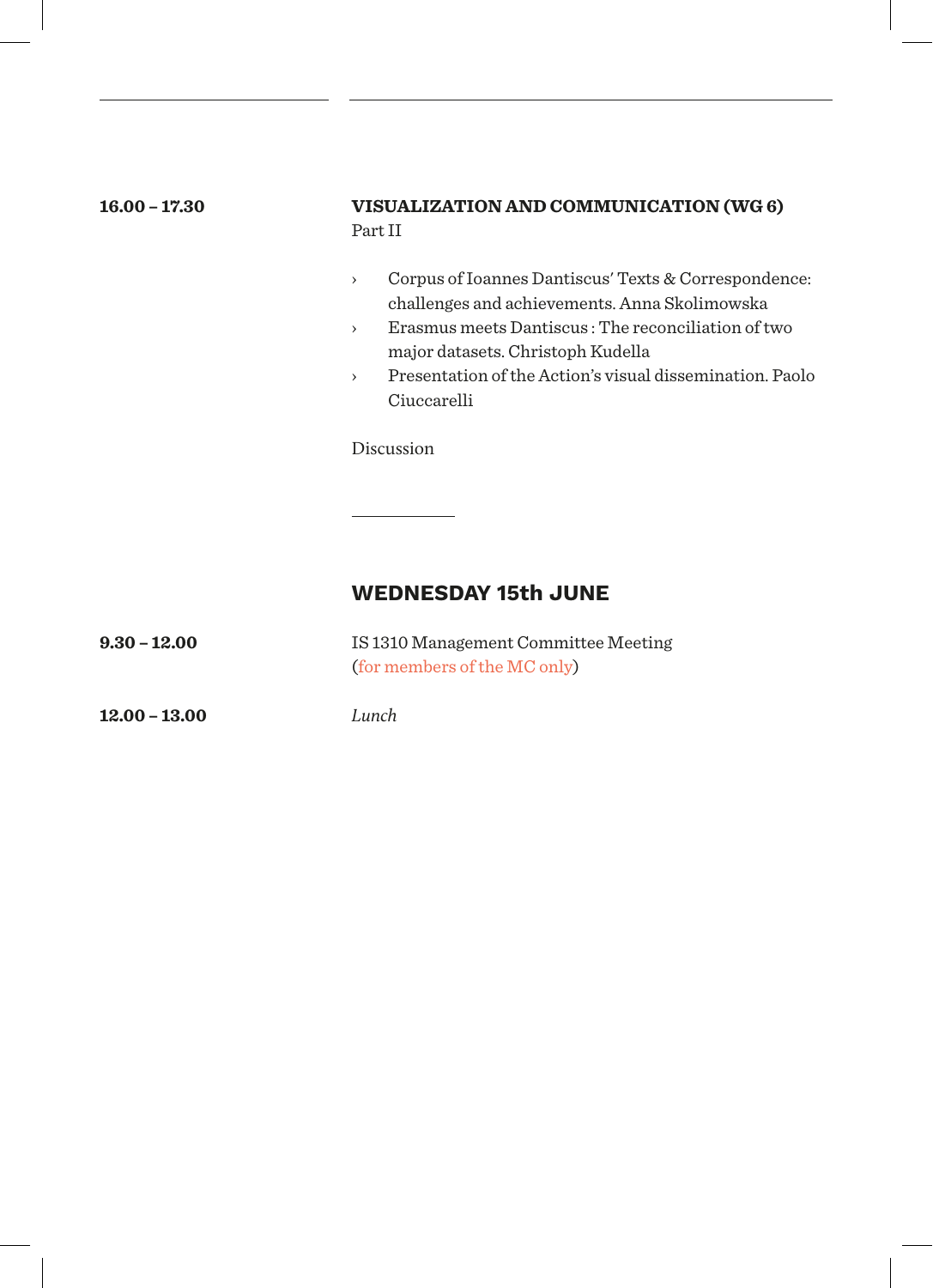# **16.00 – 17.30 VISUALIZATION AND COMMUNICATION (WG 6)** Part II › Corpus of Ioannes Dantiscus' Texts & Correspondence: challenges and achievements. Anna Skolimowska › Erasmus meets Dantiscus : The reconciliation of two major datasets. Christoph Kudella › Presentation of the Action's visual dissemination. Paolo Ciuccarelli Discussion **WEDNESDAY 15th JUNE**

**9.30 – 12.00** IS 1310 Management Committee Meeting (for members of the MC only)

**12.00 – 13.00**

*Lunch*